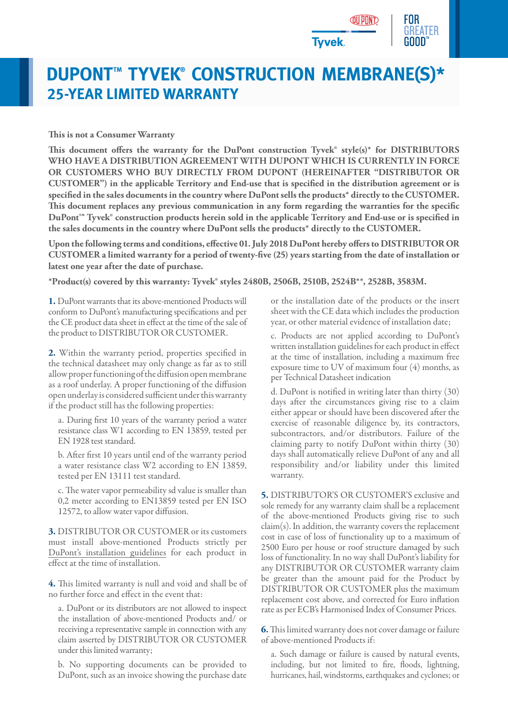

## **DUPONT™ TYVEK® CONSTRUCTION MEMBRANE(S)\* 25-YEAR LIMITED WARRANTY**

## **This is not a Consumer Warranty**

This document offers the warranty for the DuPont construction Tyvek<sup>®</sup> style(s)<sup>\*</sup> for DISTRIBUTORS **WHO HAVE A DISTRIBUTION AGREEMENT WITH DUPONT WHICH IS CURRENTLY IN FORCE OR CUSTOMERS WHO BUY DIRECTLY FROM DUPONT (HEREINAFTER "DISTRIBUTOR OR CUSTOMER") in the applicable Territory and End-use that is specified in the distribution agreement or is specified in the sales documents in the country where DuPont sells the products\* directly to the CUSTOMER. This document replaces any previous communication in any form regarding the warranties for the specific DuPont™ Tyvek® construction products herein sold in the applicable Territory and End-use or is specified in the sales documents in the country where DuPont sells the products\* directly to the CUSTOMER.** 

**Upon the following terms and conditions, effective 01. July 2018 DuPont hereby offers to DISTRIBUTOR OR CUSTOMER a limited warranty for a period of twenty-five (25) years starting from the date of installation or latest one year after the date of purchase.**

**\*Product(s) covered by this warranty: Tyvek® styles 2480B, 2506B, 2510B, 2524B\*\*, 2528B, 3583M.**

**1.** DuPont warrants that its above-mentioned Products will conform to DuPont's manufacturing specifications and per the CE product data sheet in effect at the time of the sale of the product to DISTRIBUTOR OR CUSTOMER.

**2.** Within the warranty period, properties specified in the technical datasheet may only change as far as to still allow proper functioning of the diffusion open membrane as a roof underlay. A proper functioning of the diffusion open underlay is considered sufficient under this warranty if the product still has the following properties:

a. During first 10 years of the warranty period a water resistance class W1 according to EN 13859, tested per EN 1928 test standard.

b. After first 10 years until end of the warranty period a water resistance class W2 according to EN 13859, tested per EN 13111 test standard.

c. The water vapor permeability sd value is smaller than 0,2 meter according to EN13859 tested per EN ISO 12572, to allow water vapor diffusion.

**3.** DISTRIBUTOR OR CUSTOMER or its customers must install above-mentioned Products strictly per [DuPont's installation guidelines](http://www.dupont.co.uk/content/dam/dupont/products-and-services/construction-materials/building-envelope-systems/documents/Tyvek_Installation_Guideline_Roof_EMEA.pdf) for each product in effect at the time of installation.

**4.** This limited warranty is null and void and shall be of no further force and effect in the event that:

a. DuPont or its distributors are not allowed to inspect the installation of above-mentioned Products and/ or receiving a representative sample in connection with any claim asserted by DISTRIBUTOR OR CUSTOMER under this limited warranty;

b. No supporting documents can be provided to DuPont, such as an invoice showing the purchase date

or the installation date of the products or the insert sheet with the CE data which includes the production year, or other material evidence of installation date;

c. Products are not applied according to DuPont's written installation guidelines for each product in effect at the time of installation, including a maximum free exposure time to UV of maximum four (4) months, as per Technical Datasheet indication

d. DuPont is notified in writing later than thirty (30) days after the circumstances giving rise to a claim either appear or should have been discovered after the exercise of reasonable diligence by, its contractors, subcontractors, and/or distributors. Failure of the claiming party to notify DuPont within thirty (30) days shall automatically relieve DuPont of any and all responsibility and/or liability under this limited warranty.

**5.** DISTRIBUTOR'S OR CUSTOMER'S exclusive and sole remedy for any warranty claim shall be a replacement of the above-mentioned Products giving rise to such claim(s). In addition, the warranty covers the replacement cost in case of loss of functionality up to a maximum of 2500 Euro per house or roof structure damaged by such loss of functionality. In no way shall DuPont's liability for any DISTRIBUTOR OR CUSTOMER warranty claim be greater than the amount paid for the Product by DISTRIBUTOR OR CUSTOMER plus the maximum replacement cost above, and corrected for Euro inflation rate as per ECB's Harmonised Index of Consumer Prices.

**6.**This limited warranty does not cover damage or failure of above-mentioned Products if:

a. Such damage or failure is caused by natural events, including, but not limited to fire, floods, lightning, hurricanes, hail, windstorms, earthquakes and cyclones; or